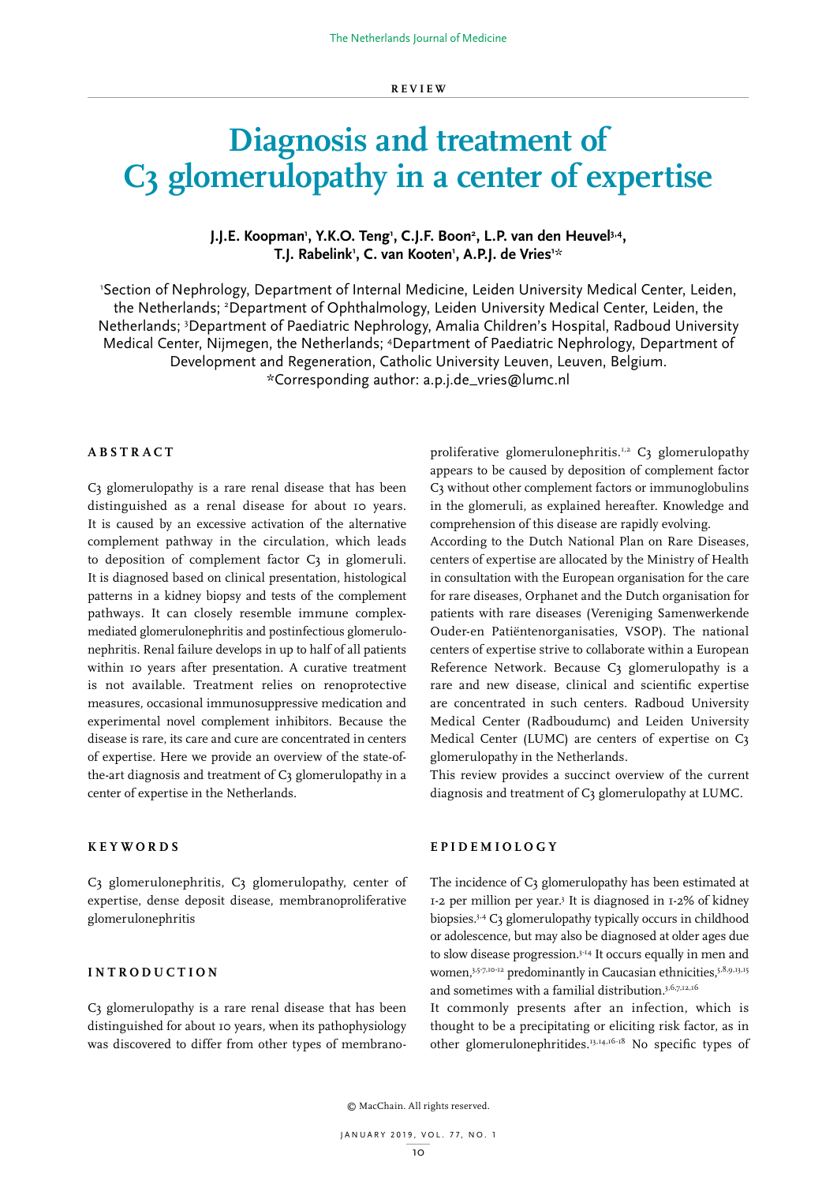# **Diagnosis and treatment of C3 glomerulopathy in a center of expertise**

# J.J.E. Koopman<sup>,</sup> Y.K.O. Teng<sup>,</sup> C.J.F. Boon<sup>2</sup>, L.P. van den Heuvel<sup>3,4</sup>, **T.J. Rabelink1 , C. van Kooten1 , A.P.J. de Vries1** *\**

1 Section of Nephrology, Department of Internal Medicine, Leiden University Medical Center, Leiden, the Netherlands; 2 Department of Ophthalmology, Leiden University Medical Center, Leiden, the Netherlands; 3 Department of Paediatric Nephrology, Amalia Children's Hospital, Radboud University Medical Center, Nijmegen, the Netherlands; 4 Department of Paediatric Nephrology, Department of Development and Regeneration, Catholic University Leuven, Leuven, Belgium. \*Corresponding author: a.p.j.de\_vries@lumc.nl

## **ABSTRACT**

C3 glomerulopathy is a rare renal disease that has been distinguished as a renal disease for about 10 years. It is caused by an excessive activation of the alternative complement pathway in the circulation, which leads to deposition of complement factor C3 in glomeruli. It is diagnosed based on clinical presentation, histological patterns in a kidney biopsy and tests of the complement pathways. It can closely resemble immune complexmediated glomerulonephritis and postinfectious glomerulonephritis. Renal failure develops in up to half of all patients within 10 years after presentation. A curative treatment is not available. Treatment relies on renoprotective measures, occasional immunosuppressive medication and experimental novel complement inhibitors. Because the disease is rare, its care and cure are concentrated in centers of expertise. Here we provide an overview of the state-ofthe-art diagnosis and treatment of C3 glomerulopathy in a center of expertise in the Netherlands.

## **KEYWORDS**

C3 glomerulonephritis, C3 glomerulopathy, center of expertise, dense deposit disease, membranoproliferative glomerulonephritis

## **INTRODUCTION**

C3 glomerulopathy is a rare renal disease that has been distinguished for about 10 years, when its pathophysiology was discovered to differ from other types of membranoproliferative glomerulonephritis.<sup>1,2</sup> C3 glomerulopathy appears to be caused by deposition of complement factor C3 without other complement factors or immunoglobulins in the glomeruli, as explained hereafter. Knowledge and comprehension of this disease are rapidly evolving. According to the Dutch National Plan on Rare Diseases, centers of expertise are allocated by the Ministry of Health in consultation with the European organisation for the care for rare diseases, Orphanet and the Dutch organisation for patients with rare diseases (Vereniging Samenwerkende Ouder-en Patiëntenorganisaties, VSOP). The national centers of expertise strive to collaborate within a European Reference Network. Because C3 glomerulopathy is a rare and new disease, clinical and scientific expertise are concentrated in such centers. Radboud University Medical Center (Radboudumc) and Leiden University Medical Center (LUMC) are centers of expertise on C3 glomerulopathy in the Netherlands.

This review provides a succinct overview of the current diagnosis and treatment of C3 glomerulopathy at LUMC.

## **EPIDEMIOLOGY**

The incidence of C3 glomerulopathy has been estimated at 1-2 per million per year.3 It is diagnosed in 1-2% of kidney biopsies.<sup>3,4</sup> C3 glomerulopathy typically occurs in childhood or adolescence, but may also be diagnosed at older ages due to slow disease progression.3-14 It occurs equally in men and women, 3,5-7,10-12 predominantly in Caucasian ethnicities, 5,8,9,13,15 and sometimes with a familial distribution.3,6,7,12,16

It commonly presents after an infection, which is thought to be a precipitating or eliciting risk factor, as in other glomerulonephritides.13,14,16-18 No specific types of

© MacChain. All rights reserved.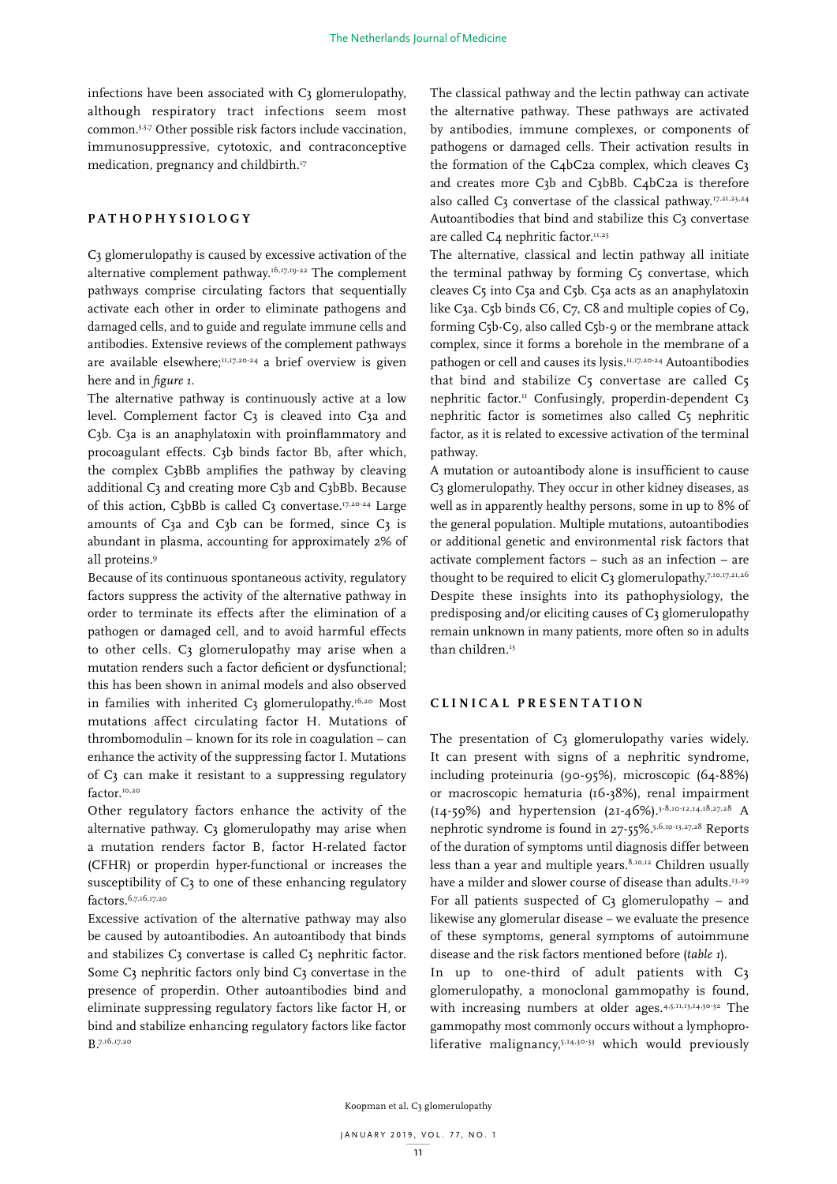infections have been associated with C3 glomerulopathy, although respiratory tract infections seem most common.3,5,7 Other possible risk factors include vaccination, immunosuppressive, cytotoxic, and contraconceptive medication, pregnancy and childbirth.<sup>17</sup>

# **PATHOPHYSIOLOGY**

C3 glomerulopathy is caused by excessive activation of the alternative complement pathway.<sup>16,17,19-22</sup> The complement pathways comprise circulating factors that sequentially activate each other in order to eliminate pathogens and damaged cells, and to guide and regulate immune cells and antibodies. Extensive reviews of the complement pathways are available elsewhere;<sup>11,17,20-24</sup> a brief overview is given here and in *figure 1*.

The alternative pathway is continuously active at a low level. Complement factor C3 is cleaved into C3a and C3b. C3a is an anaphylatoxin with proinflammatory and procoagulant effects. C3b binds factor Bb, after which, the complex C3bBb amplifies the pathway by cleaving additional C3 and creating more C3b and C3bBb. Because of this action, C3bBb is called C3 convertase.<sup>17,20-24</sup> Large amounts of  $C_3a$  and  $C_3b$  can be formed, since  $C_3$  is abundant in plasma, accounting for approximately 2% of all proteins.9

Because of its continuous spontaneous activity, regulatory factors suppress the activity of the alternative pathway in order to terminate its effects after the elimination of a pathogen or damaged cell, and to avoid harmful effects to other cells. C3 glomerulopathy may arise when a mutation renders such a factor deficient or dysfunctional; this has been shown in animal models and also observed in families with inherited C3 glomerulopathy.<sup>16,20</sup> Most mutations affect circulating factor H. Mutations of thrombomodulin – known for its role in coagulation – can enhance the activity of the suppressing factor I. Mutations of C3 can make it resistant to a suppressing regulatory factor.<sup>10,20</sup>

Other regulatory factors enhance the activity of the alternative pathway. C<sub>3</sub> glomerulopathy may arise when a mutation renders factor B, factor H-related factor (CFHR) or properdin hyper-functional or increases the susceptibility of C3 to one of these enhancing regulatory factors.6,7,16,17,20

Excessive activation of the alternative pathway may also be caused by autoantibodies. An autoantibody that binds and stabilizes C3 convertase is called C3 nephritic factor. Some C3 nephritic factors only bind C3 convertase in the presence of properdin. Other autoantibodies bind and eliminate suppressing regulatory factors like factor H, or bind and stabilize enhancing regulatory factors like factor B.7,16,17,20

The classical pathway and the lectin pathway can activate the alternative pathway. These pathways are activated by antibodies, immune complexes, or components of pathogens or damaged cells. Their activation results in the formation of the C4bC2a complex, which cleaves C3 and creates more C3b and C3bBb. C4bC2a is therefore also called C3 convertase of the classical pathway.<sup>17,21,23,24</sup> Autoantibodies that bind and stabilize this  $C_3$  convertase are called C<sub>4</sub> nephritic factor.<sup>11,25</sup>

The alternative, classical and lectin pathway all initiate the terminal pathway by forming C5 convertase, which cleaves C5 into C5a and C5b. C5a acts as an anaphylatoxin like C3a. C5b binds C6, C7, C8 and multiple copies of C9, forming C5b-C9, also called C5b-9 or the membrane attack complex, since it forms a borehole in the membrane of a pathogen or cell and causes its lysis.11,17,20-24 Autoantibodies that bind and stabilize  $C_5$  convertase are called  $C_5$ nephritic factor.<sup>11</sup> Confusingly, properdin-dependent  $C_3$ nephritic factor is sometimes also called C5 nephritic factor, as it is related to excessive activation of the terminal pathway.

A mutation or autoantibody alone is insufficient to cause C3 glomerulopathy. They occur in other kidney diseases, as well as in apparently healthy persons, some in up to 8% of the general population. Multiple mutations, autoantibodies or additional genetic and environmental risk factors that activate complement factors – such as an infection – are thought to be required to elicit C3 glomerulopathy.<sup>7,10,17,21,26</sup> Despite these insights into its pathophysiology, the predisposing and/or eliciting causes of C3 glomerulopathy remain unknown in many patients, more often so in adults than children.<sup>13</sup>

# **CLINICAL PRESENTATION**

The presentation of C3 glomerulopathy varies widely. It can present with signs of a nephritic syndrome, including proteinuria (90-95%), microscopic (64-88%) or macroscopic hematuria (16-38%), renal impairment  $(14-59%)$  and hypertension  $(21-46%)$ .<sup>3-8,10-12,14,18,27,28</sup> A nephrotic syndrome is found in 27-55%.5,6,10-13,27,28 Reports of the duration of symptoms until diagnosis differ between less than a year and multiple years.<sup>8,10,12</sup> Children usually have a milder and slower course of disease than adults.<sup>13,29</sup> For all patients suspected of  $C_3$  glomerulopathy – and likewise any glomerular disease – we evaluate the presence of these symptoms, general symptoms of autoimmune disease and the risk factors mentioned before (*table 1*).

In up to one-third of adult patients with C3 glomerulopathy, a monoclonal gammopathy is found, with increasing numbers at older ages.<sup>4,5,11,13,14,30-32</sup> The gammopathy most commonly occurs without a lymphoproliferative malignancy,<sup>5,14,30-33</sup> which would previously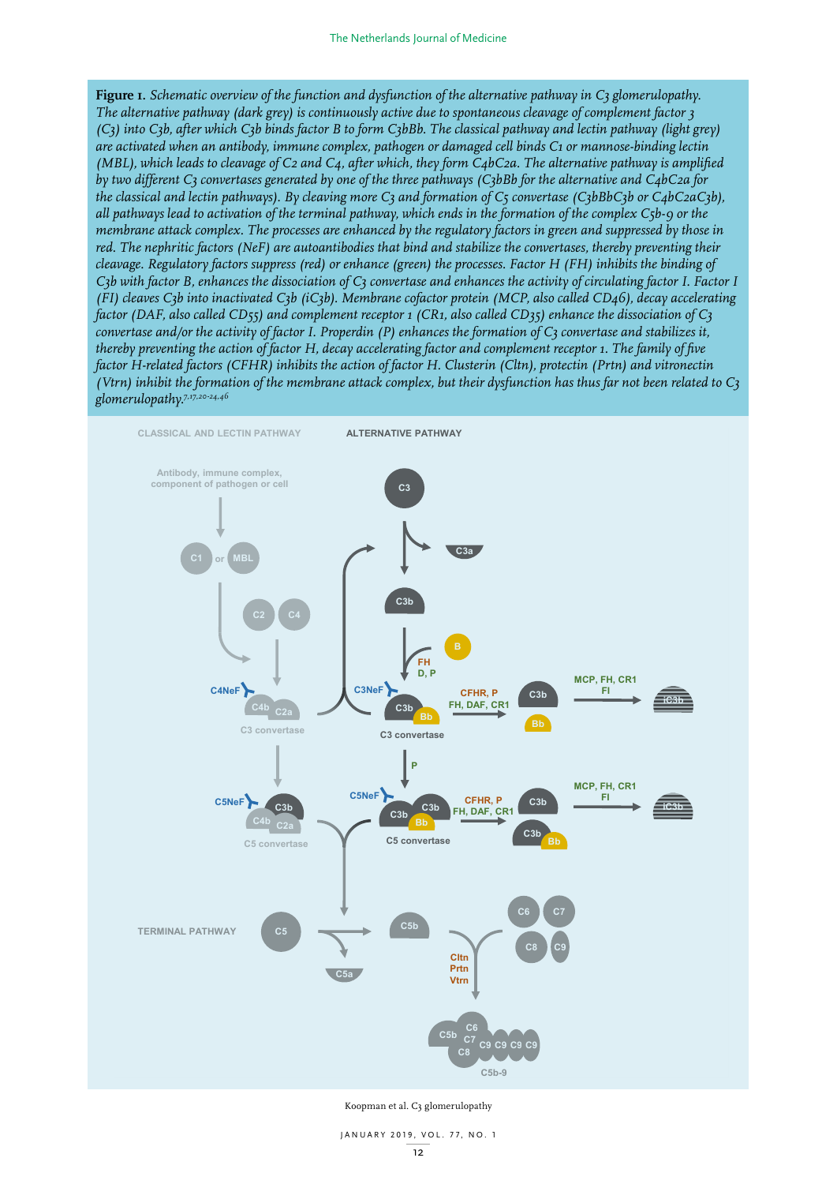**Figure 1.** *Schematic overview of the function and dysfunction of the alternative pathway in C3 glomerulopathy. The alternative pathway (dark grey) is continuously active due to spontaneous cleavage of complement factor 3 (C3) into C3b, after which C3b binds factor B to form C3bBb. The classical pathway and lectin pathway (light grey) are activated when an antibody, immune complex, pathogen or damaged cell binds C1 or mannose-binding lectin (MBL), which leads to cleavage of C2 and C4, after which, they form C4bC2a. The alternative pathway is amplified by two different C3 convertases generated by one of the three pathways (C3bBb for the alternative and C4bC2a for the classical and lectin pathways). By cleaving more C3 and formation of C5 convertase (C3bBbC3b or C4bC2aC3b), all pathways lead to activation of the terminal pathway, which ends in the formation of the complex C5b-9 or the membrane attack complex. The processes are enhanced by the regulatory factors in green and suppressed by those in red. The nephritic factors (NeF) are autoantibodies that bind and stabilize the convertases, thereby preventing their cleavage. Regulatory factors suppress (red) or enhance (green) the processes. Factor H (FH) inhibits the binding of C3b with factor B, enhances the dissociation of C3 convertase and enhances the activity of circulating factor I. Factor I (FI) cleaves C3b into inactivated C3b (iC3b). Membrane cofactor protein (MCP, also called CD46), decay accelerating factor (DAF, also called CD55) and complement receptor 1 (CR1, also called CD35) enhance the dissociation of C3 convertase and/or the activity of factor I. Properdin (P) enhances the formation of C3 convertase and stabilizes it, thereby preventing the action of factor H, decay accelerating factor and complement receptor 1. The family of five factor H-related factors (CFHR) inhibits the action of factor H. Clusterin (Cltn), protectin (Prtn) and vitronectin (Vtrn) inhibit the formation of the membrane attack complex, but their dysfunction has thus far not been related to C3 glomerulopathy.7,17,20-24,46*



Koopman et al. C3 glomerulopathy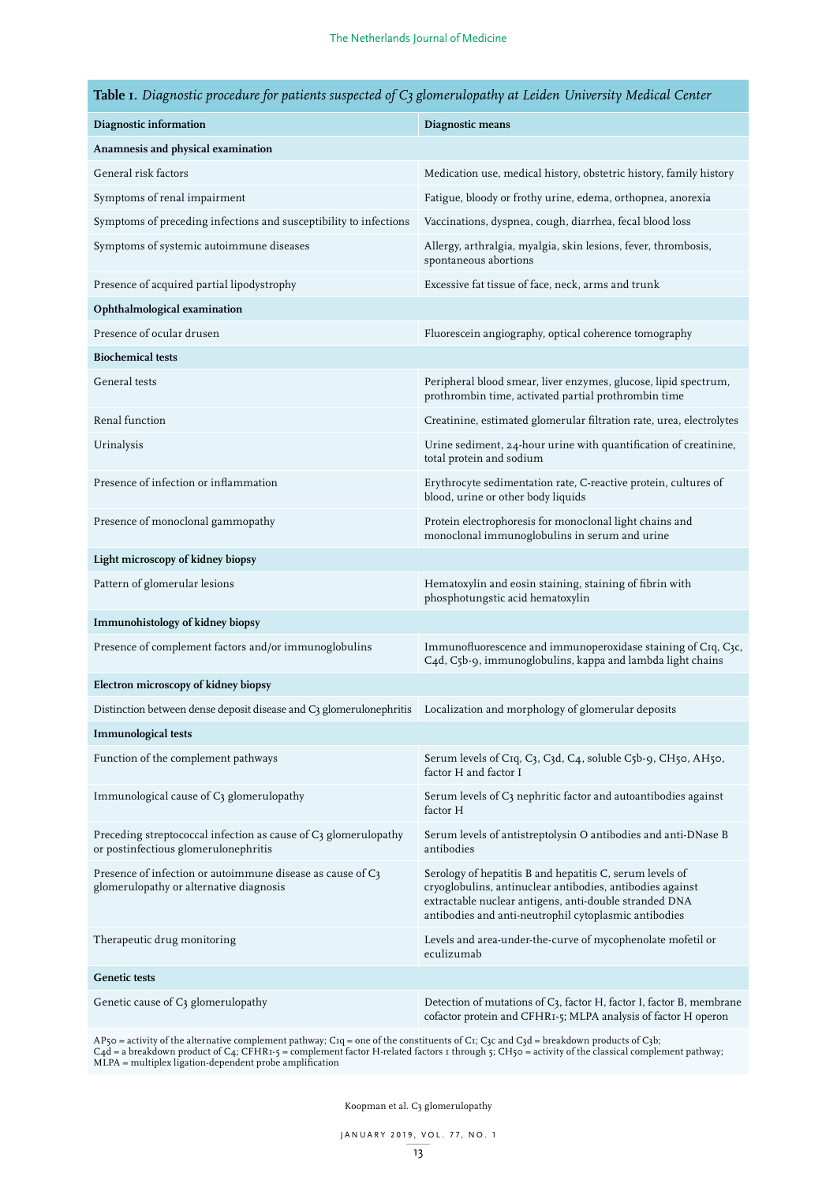|  |  |  |  |  |  |  |  | <b>Table 1.</b> Diagnostic procedure for patients suspected of $C_3$ glomerulopathy at Leiden University Medical Center |  |
|--|--|--|--|--|--|--|--|-------------------------------------------------------------------------------------------------------------------------|--|
|--|--|--|--|--|--|--|--|-------------------------------------------------------------------------------------------------------------------------|--|

| Diagnostic information                                                                                  | Diagnostic means                                                                                                                                                                                                                         |  |  |  |  |  |
|---------------------------------------------------------------------------------------------------------|------------------------------------------------------------------------------------------------------------------------------------------------------------------------------------------------------------------------------------------|--|--|--|--|--|
| Anamnesis and physical examination                                                                      |                                                                                                                                                                                                                                          |  |  |  |  |  |
| General risk factors                                                                                    | Medication use, medical history, obstetric history, family history                                                                                                                                                                       |  |  |  |  |  |
| Symptoms of renal impairment                                                                            | Fatigue, bloody or frothy urine, edema, orthopnea, anorexia                                                                                                                                                                              |  |  |  |  |  |
| Symptoms of preceding infections and susceptibility to infections                                       | Vaccinations, dyspnea, cough, diarrhea, fecal blood loss                                                                                                                                                                                 |  |  |  |  |  |
| Symptoms of systemic autoimmune diseases                                                                | Allergy, arthralgia, myalgia, skin lesions, fever, thrombosis,<br>spontaneous abortions                                                                                                                                                  |  |  |  |  |  |
| Presence of acquired partial lipodystrophy                                                              | Excessive fat tissue of face, neck, arms and trunk                                                                                                                                                                                       |  |  |  |  |  |
| Ophthalmological examination                                                                            |                                                                                                                                                                                                                                          |  |  |  |  |  |
| Presence of ocular drusen                                                                               | Fluorescein angiography, optical coherence tomography                                                                                                                                                                                    |  |  |  |  |  |
| <b>Biochemical tests</b>                                                                                |                                                                                                                                                                                                                                          |  |  |  |  |  |
| General tests                                                                                           | Peripheral blood smear, liver enzymes, glucose, lipid spectrum,<br>prothrombin time, activated partial prothrombin time                                                                                                                  |  |  |  |  |  |
| Renal function                                                                                          | Creatinine, estimated glomerular filtration rate, urea, electrolytes                                                                                                                                                                     |  |  |  |  |  |
| Urinalysis                                                                                              | Urine sediment, 24-hour urine with quantification of creatinine,<br>total protein and sodium                                                                                                                                             |  |  |  |  |  |
| Presence of infection or inflammation                                                                   | Erythrocyte sedimentation rate, C-reactive protein, cultures of<br>blood, urine or other body liquids                                                                                                                                    |  |  |  |  |  |
| Presence of monoclonal gammopathy                                                                       | Protein electrophoresis for monoclonal light chains and<br>monoclonal immunoglobulins in serum and urine                                                                                                                                 |  |  |  |  |  |
| Light microscopy of kidney biopsy                                                                       |                                                                                                                                                                                                                                          |  |  |  |  |  |
| Pattern of glomerular lesions                                                                           | Hematoxylin and eosin staining, staining of fibrin with<br>phosphotungstic acid hematoxylin                                                                                                                                              |  |  |  |  |  |
| Immunohistology of kidney biopsy                                                                        |                                                                                                                                                                                                                                          |  |  |  |  |  |
| Presence of complement factors and/or immunoglobulins                                                   | Immunofluorescence and immunoperoxidase staining of CIq, C3c,<br>C4d, C5b-9, immunoglobulins, kappa and lambda light chains                                                                                                              |  |  |  |  |  |
| Electron microscopy of kidney biopsy                                                                    |                                                                                                                                                                                                                                          |  |  |  |  |  |
| Distinction between dense deposit disease and C3 glomerulonephritis                                     | Localization and morphology of glomerular deposits                                                                                                                                                                                       |  |  |  |  |  |
| <b>Immunological tests</b>                                                                              |                                                                                                                                                                                                                                          |  |  |  |  |  |
| Function of the complement pathways                                                                     | Serum levels of CIq, C3, C3d, C4, soluble C5b-9, CH50, AH50,<br>factor H and factor I                                                                                                                                                    |  |  |  |  |  |
| Immunological cause of C3 glomerulopathy                                                                | Serum levels of C3 nephritic factor and autoantibodies against<br>factor H                                                                                                                                                               |  |  |  |  |  |
| Preceding streptococcal infection as cause of C3 glomerulopathy<br>or postinfectious glomerulonephritis | Serum levels of antistreptolysin O antibodies and anti-DNase B<br>antibodies                                                                                                                                                             |  |  |  |  |  |
| Presence of infection or autoimmune disease as cause of C3<br>glomerulopathy or alternative diagnosis   | Serology of hepatitis B and hepatitis C, serum levels of<br>cryoglobulins, antinuclear antibodies, antibodies against<br>extractable nuclear antigens, anti-double stranded DNA<br>antibodies and anti-neutrophil cytoplasmic antibodies |  |  |  |  |  |
| Therapeutic drug monitoring                                                                             | Levels and area-under-the-curve of mycophenolate mofetil or<br>eculizumab                                                                                                                                                                |  |  |  |  |  |
| <b>Genetic tests</b>                                                                                    |                                                                                                                                                                                                                                          |  |  |  |  |  |
| Genetic cause of C3 glomerulopathy                                                                      | Detection of mutations of C3, factor H, factor I, factor B, membrane<br>cofactor protein and CFHR1-5; MLPA analysis of factor H operon                                                                                                   |  |  |  |  |  |

 $AP_5$ 0 = activity of the alternative complement pathway; C1q = one of the constituents of C1; C3c and C3d = breakdown products of C3b; C4d = a breakdown product of C4; CFHR1-5 = complement factor H-related factors 1 through 5; CH50 = activity of the classical complement pathway; MLPA = multiplex ligation-dependent probe amplification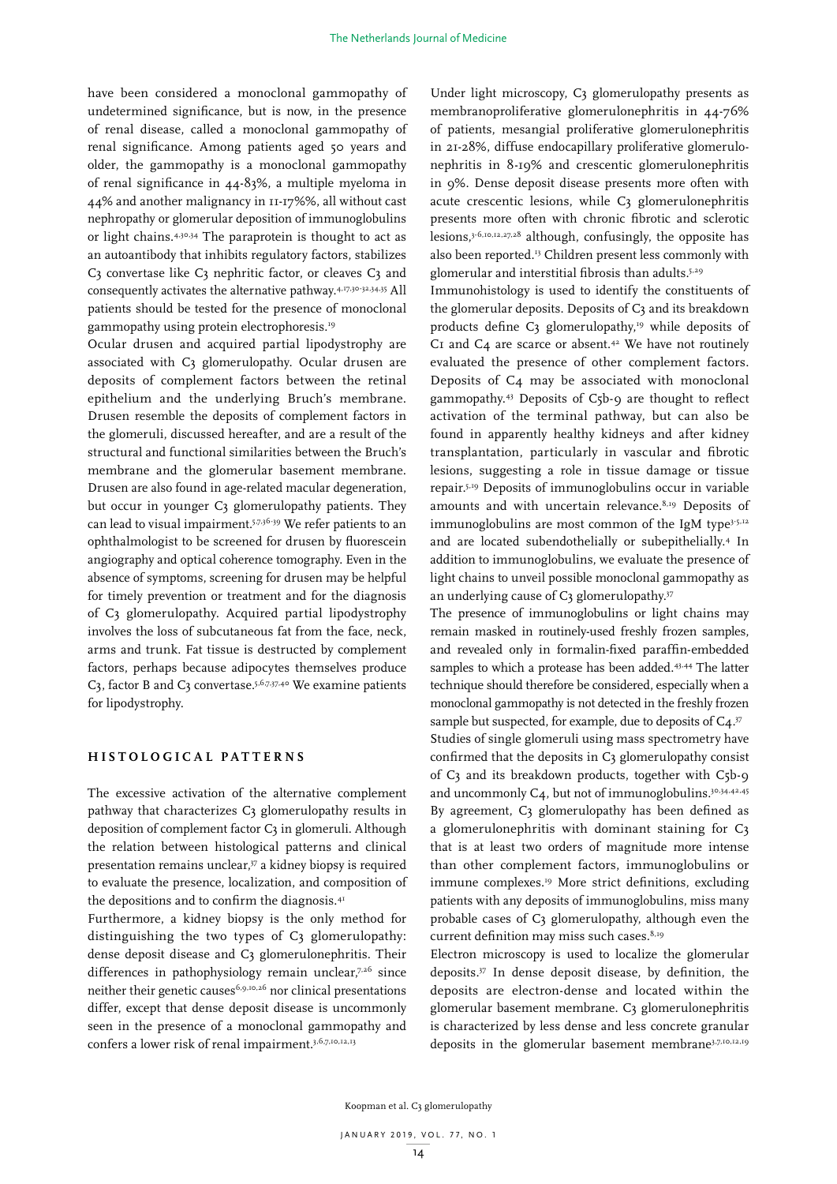have been considered a monoclonal gammopathy of undetermined significance, but is now, in the presence of renal disease, called a monoclonal gammopathy of renal significance. Among patients aged 50 years and older, the gammopathy is a monoclonal gammopathy of renal significance in 44-83%, a multiple myeloma in 44% and another malignancy in 11-17%%, all without cast nephropathy or glomerular deposition of immunoglobulins or light chains.<sup>4,30,34</sup> The paraprotein is thought to act as an autoantibody that inhibits regulatory factors, stabilizes C3 convertase like C3 nephritic factor, or cleaves C3 and consequently activates the alternative pathway.4,17,30-32,34,35 All patients should be tested for the presence of monoclonal gammopathy using protein electrophoresis.19

Ocular drusen and acquired partial lipodystrophy are associated with C3 glomerulopathy. Ocular drusen are deposits of complement factors between the retinal epithelium and the underlying Bruch's membrane. Drusen resemble the deposits of complement factors in the glomeruli, discussed hereafter, and are a result of the structural and functional similarities between the Bruch's membrane and the glomerular basement membrane. Drusen are also found in age-related macular degeneration, but occur in younger C3 glomerulopathy patients. They can lead to visual impairment.5,7,36-39 We refer patients to an ophthalmologist to be screened for drusen by fluorescein angiography and optical coherence tomography. Even in the absence of symptoms, screening for drusen may be helpful for timely prevention or treatment and for the diagnosis of C3 glomerulopathy. Acquired partial lipodystrophy involves the loss of subcutaneous fat from the face, neck, arms and trunk. Fat tissue is destructed by complement factors, perhaps because adipocytes themselves produce C3, factor B and C3 convertase.<sup>5,6,7,37,40</sup> We examine patients for lipodystrophy.

## **HISTOLOGICAL PATTERNS**

The excessive activation of the alternative complement pathway that characterizes C3 glomerulopathy results in deposition of complement factor C3 in glomeruli. Although the relation between histological patterns and clinical presentation remains unclear,<sup>37</sup> a kidney biopsy is required to evaluate the presence, localization, and composition of the depositions and to confirm the diagnosis.<sup>41</sup>

Furthermore, a kidney biopsy is the only method for distinguishing the two types of  $C_3$  glomerulopathy: dense deposit disease and C3 glomerulonephritis. Their differences in pathophysiology remain unclear,7,26 since neither their genetic causes<sup>6,9,10,26</sup> nor clinical presentations differ, except that dense deposit disease is uncommonly seen in the presence of a monoclonal gammopathy and confers a lower risk of renal impairment.<sup>3,6,7,10,12,13</sup>

Under light microscopy, C3 glomerulopathy presents as membranoproliferative glomerulonephritis in 44-76% of patients, mesangial proliferative glomerulonephritis in 21-28%, diffuse endocapillary proliferative glomerulonephritis in 8-19% and crescentic glomerulonephritis in 9%. Dense deposit disease presents more often with acute crescentic lesions, while C3 glomerulonephritis presents more often with chronic fibrotic and sclerotic lesions,3-6,10,12,27,28 although, confusingly, the opposite has also been reported.<sup>13</sup> Children present less commonly with glomerular and interstitial fibrosis than adults.<sup>5,29</sup>

Immunohistology is used to identify the constituents of the glomerular deposits. Deposits of C3 and its breakdown products define  $C_3$  glomerulopathy,<sup>19</sup> while deposits of C1 and C4 are scarce or absent.<sup>42</sup> We have not routinely evaluated the presence of other complement factors. Deposits of C4 may be associated with monoclonal gammopathy.43 Deposits of C5b-9 are thought to reflect activation of the terminal pathway, but can also be found in apparently healthy kidneys and after kidney transplantation, particularly in vascular and fibrotic lesions, suggesting a role in tissue damage or tissue repair.5,19 Deposits of immunoglobulins occur in variable amounts and with uncertain relevance.<sup>8,19</sup> Deposits of immunoglobulins are most common of the IgM type<sup>3-5,12</sup> and are located subendothelially or subepithelially.4 In addition to immunoglobulins, we evaluate the presence of light chains to unveil possible monoclonal gammopathy as an underlying cause of C3 glomerulopathy.<sup>37</sup>

The presence of immunoglobulins or light chains may remain masked in routinely-used freshly frozen samples, and revealed only in formalin-fixed paraffin-embedded samples to which a protease has been added.<sup>43,44</sup> The latter technique should therefore be considered, especially when a monoclonal gammopathy is not detected in the freshly frozen sample but suspected, for example, due to deposits of  $C<sub>4</sub>$ .<sup>37</sup> Studies of single glomeruli using mass spectrometry have confirmed that the deposits in C3 glomerulopathy consist of C3 and its breakdown products, together with C5b-9 and uncommonly C4, but not of immunoglobulins.30,34,42,45 By agreement, C3 glomerulopathy has been defined as a glomerulonephritis with dominant staining for C3 that is at least two orders of magnitude more intense than other complement factors, immunoglobulins or immune complexes.19 More strict definitions, excluding patients with any deposits of immunoglobulins, miss many probable cases of C3 glomerulopathy, although even the current definition may miss such cases.<sup>8,19</sup>

Electron microscopy is used to localize the glomerular deposits.37 In dense deposit disease, by definition, the deposits are electron-dense and located within the glomerular basement membrane. C3 glomerulonephritis is characterized by less dense and less concrete granular deposits in the glomerular basement membrane3,7,10,12,19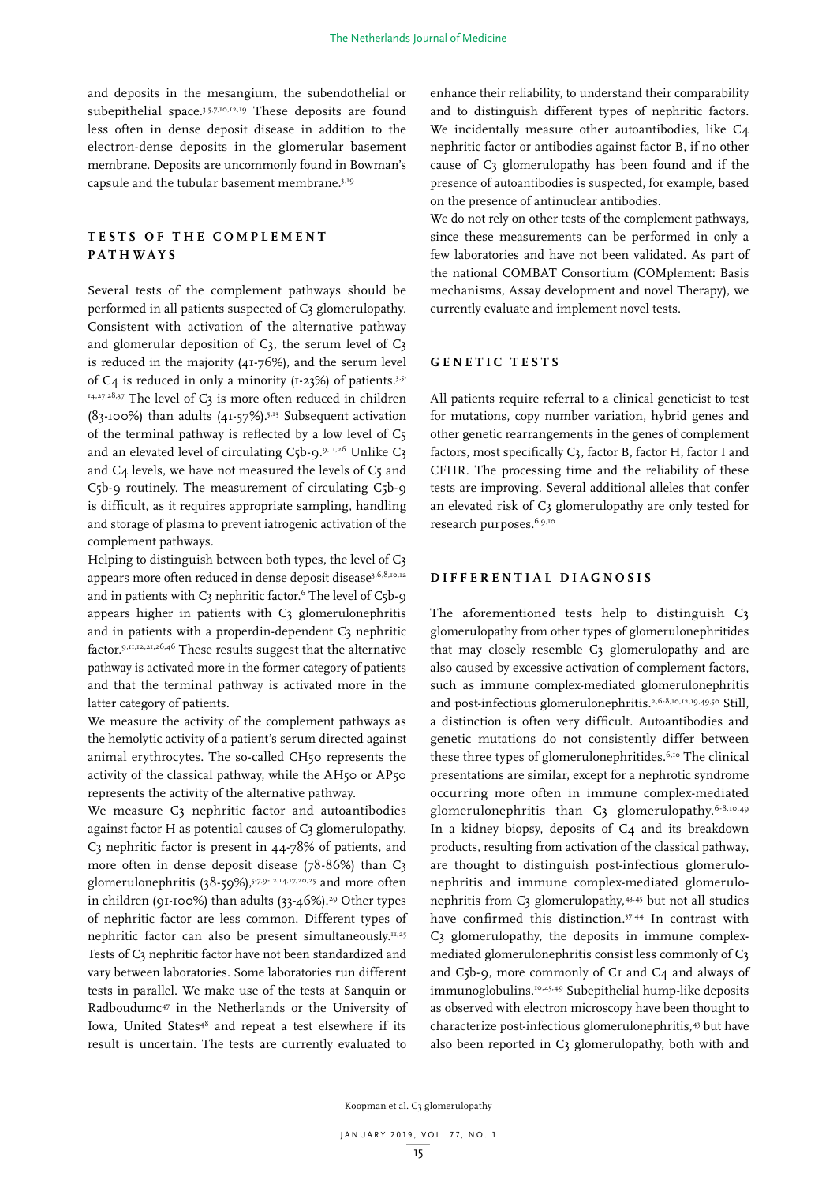and deposits in the mesangium, the subendothelial or subepithelial space.3,5,7,10,12,19 These deposits are found less often in dense deposit disease in addition to the electron-dense deposits in the glomerular basement membrane. Deposits are uncommonly found in Bowman's capsule and the tubular basement membrane.3,19

# **TESTS OF THE COMPLEMENT PATHWAYS**

Several tests of the complement pathways should be performed in all patients suspected of C3 glomerulopathy. Consistent with activation of the alternative pathway and glomerular deposition of C3, the serum level of C3 is reduced in the majority (41-76%), and the serum level of C4 is reduced in only a minority ( $I-23%$ ) of patients.<sup>3,5-</sup>  $14,27,28,37$  The level of C3 is more often reduced in children (83-100%) than adults  $(41-57%)$ .<sup>5,13</sup> Subsequent activation of the terminal pathway is reflected by a low level of C5 and an elevated level of circulating C5b-9.9,11,26 Unlike C3 and C4 levels, we have not measured the levels of C5 and C5b-9 routinely. The measurement of circulating C5b-9 is difficult, as it requires appropriate sampling, handling and storage of plasma to prevent iatrogenic activation of the complement pathways.

Helping to distinguish between both types, the level of C3 appears more often reduced in dense deposit disease<sup>3,6,8,10,12</sup> and in patients with  $C_3$  nephritic factor.<sup>6</sup> The level of  $C_5b-9$ appears higher in patients with C3 glomerulonephritis and in patients with a properdin-dependent C3 nephritic factor.9,11,12,21,26,46 These results suggest that the alternative pathway is activated more in the former category of patients and that the terminal pathway is activated more in the latter category of patients.

We measure the activity of the complement pathways as the hemolytic activity of a patient's serum directed against animal erythrocytes. The so-called CH50 represents the activity of the classical pathway, while the AH50 or AP50 represents the activity of the alternative pathway.

We measure C3 nephritic factor and autoantibodies against factor H as potential causes of C3 glomerulopathy. C3 nephritic factor is present in 44-78% of patients, and more often in dense deposit disease (78-86%) than C3 glomerulonephritis (38-59%),  $5^{7,9-12,14,17,20,25}$  and more often in children (91-100%) than adults  $(33-46\%)$ .<sup>29</sup> Other types of nephritic factor are less common. Different types of nephritic factor can also be present simultaneously.11,25 Tests of C3 nephritic factor have not been standardized and vary between laboratories. Some laboratories run different tests in parallel. We make use of the tests at Sanquin or Radboudumc47 in the Netherlands or the University of Iowa, United States<sup>48</sup> and repeat a test elsewhere if its result is uncertain. The tests are currently evaluated to

enhance their reliability, to understand their comparability and to distinguish different types of nephritic factors. We incidentally measure other autoantibodies, like C4 nephritic factor or antibodies against factor B, if no other cause of C3 glomerulopathy has been found and if the presence of autoantibodies is suspected, for example, based on the presence of antinuclear antibodies.

We do not rely on other tests of the complement pathways, since these measurements can be performed in only a few laboratories and have not been validated. As part of the national COMBAT Consortium (COMplement: Basis mechanisms, Assay development and novel Therapy), we currently evaluate and implement novel tests.

# **GENETIC TESTS**

All patients require referral to a clinical geneticist to test for mutations, copy number variation, hybrid genes and other genetic rearrangements in the genes of complement factors, most specifically C3, factor B, factor H, factor I and CFHR. The processing time and the reliability of these tests are improving. Several additional alleles that confer an elevated risk of C3 glomerulopathy are only tested for research purposes.<sup>6,9,10</sup>

# **DIFFERENTIAL DIAGNOSIS**

The aforementioned tests help to distinguish C3 glomerulopathy from other types of glomerulonephritides that may closely resemble C3 glomerulopathy and are also caused by excessive activation of complement factors, such as immune complex-mediated glomerulonephritis and post-infectious glomerulonephritis.<sup>2,6-8,10,12,19,49,50</sup> Still, a distinction is often very difficult. Autoantibodies and genetic mutations do not consistently differ between these three types of glomerulonephritides.<sup>6,10</sup> The clinical presentations are similar, except for a nephrotic syndrome occurring more often in immune complex-mediated glomerulonephritis than C3 glomerulopathy.<sup>6-8,10,49</sup> In a kidney biopsy, deposits of C4 and its breakdown products, resulting from activation of the classical pathway, are thought to distinguish post-infectious glomerulonephritis and immune complex-mediated glomerulonephritis from C3 glomerulopathy,43,45 but not all studies have confirmed this distinction.<sup>37,44</sup> In contrast with C3 glomerulopathy, the deposits in immune complexmediated glomerulonephritis consist less commonly of C3 and C5b-9, more commonly of C1 and C4 and always of immunoglobulins.<sup>10,45,49</sup> Subepithelial hump-like deposits as observed with electron microscopy have been thought to characterize post-infectious glomerulonephritis,43 but have also been reported in C3 glomerulopathy, both with and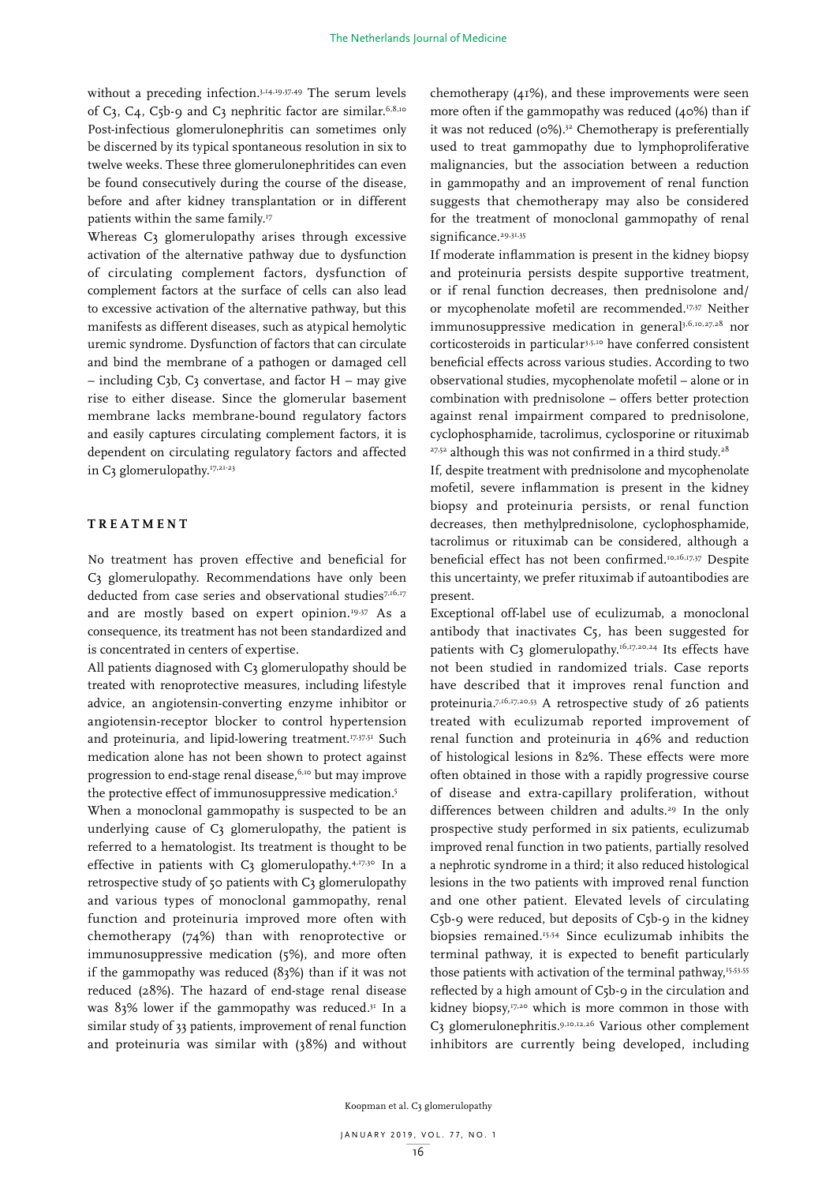without a preceding infection.<sup>3,14,19,37,49</sup> The serum levels of C3, C4, C5b-9 and C3 nephritic factor are similar.<sup>6,8,10</sup> Post-infectious glomerulonephritis can sometimes only be discerned by its typical spontaneous resolution in six to twelve weeks. These three glomerulonephritides can even be found consecutively during the course of the disease, before and after kidney transplantation or in different patients within the same family.<sup>17</sup>

Whereas C<sub>3</sub> glomerulopathy arises through excessive activation of the alternative pathway due to dysfunction of circulating complement factors, dysfunction of complement factors at the surface of cells can also lead to excessive activation of the alternative pathway, but this manifests as different diseases, such as atypical hemolytic uremic syndrome. Dysfunction of factors that can circulate and bind the membrane of a pathogen or damaged cell  $-$  including C3b, C3 convertase, and factor H  $-$  may give rise to either disease. Since the glomerular basement membrane lacks membrane-bound regulatory factors and easily captures circulating complement factors, it is dependent on circulating regulatory factors and affected in C3 glomerulopathy.<sup>17,21-23</sup>

# **TREATMENT**

No treatment has proven effective and beneficial for C3 glomerulopathy. Recommendations have only been deducted from case series and observational studies<sup>7,16,17</sup> and are mostly based on expert opinion.<sup>19,37</sup> As a consequence, its treatment has not been standardized and is concentrated in centers of expertise.

All patients diagnosed with C3 glomerulopathy should be treated with renoprotective measures, including lifestyle advice, an angiotensin-converting enzyme inhibitor or angiotensin-receptor blocker to control hypertension and proteinuria, and lipid-lowering treatment.<sup>17,37,51</sup> Such medication alone has not been shown to protect against progression to end-stage renal disease,<sup>6,10</sup> but may improve the protective effect of immunosuppressive medication.<sup>5</sup>

When a monoclonal gammopathy is suspected to be an underlying cause of C3 glomerulopathy, the patient is referred to a hematologist. Its treatment is thought to be effective in patients with C3 glomerulopathy.<sup>4,17,30</sup> In a retrospective study of 50 patients with C3 glomerulopathy and various types of monoclonal gammopathy, renal function and proteinuria improved more often with chemotherapy (74%) than with renoprotective or immunosuppressive medication (5%), and more often if the gammopathy was reduced (83%) than if it was not reduced (28%). The hazard of end-stage renal disease was  $83\%$  lower if the gammopathy was reduced.<sup>31</sup> In a similar study of 33 patients, improvement of renal function and proteinuria was similar with (38%) and without

chemotherapy (41%), and these improvements were seen more often if the gammopathy was reduced (40%) than if it was not reduced (0%).<sup>32</sup> Chemotherapy is preferentially used to treat gammopathy due to lymphoproliferative malignancies, but the association between a reduction in gammopathy and an improvement of renal function suggests that chemotherapy may also be considered for the treatment of monoclonal gammopathy of renal significance.<sup>29,31,35</sup>

If moderate inflammation is present in the kidney biopsy and proteinuria persists despite supportive treatment, or if renal function decreases, then prednisolone and/ or mycophenolate mofetil are recommended.<sup>17,37</sup> Neither immunosuppressive medication in general<sup>3,6,10,27,28</sup> nor corticosteroids in particular<sup>3,5,10</sup> have conferred consistent beneficial effects across various studies. According to two observational studies, mycophenolate mofetil – alone or in combination with prednisolone – offers better protection against renal impairment compared to prednisolone, cyclophosphamide, tacrolimus, cyclosporine or rituximab <sup>27,52</sup> although this was not confirmed in a third study.<sup>28</sup>

If, despite treatment with prednisolone and mycophenolate mofetil, severe inflammation is present in the kidney biopsy and proteinuria persists, or renal function decreases, then methylprednisolone, cyclophosphamide, tacrolimus or rituximab can be considered, although a beneficial effect has not been confirmed.10,16,17,37 Despite this uncertainty, we prefer rituximab if autoantibodies are present.

Exceptional off-label use of eculizumab, a monoclonal antibody that inactivates C5, has been suggested for patients with C3 glomerulopathy.<sup>16,17,20,24</sup> Its effects have not been studied in randomized trials. Case reports have described that it improves renal function and proteinuria.<sup>7,16,17,20,53</sup> A retrospective study of 26 patients treated with eculizumab reported improvement of renal function and proteinuria in 46% and reduction of histological lesions in 82%. These effects were more often obtained in those with a rapidly progressive course of disease and extra-capillary proliferation, without differences between children and adults.<sup>29</sup> In the only prospective study performed in six patients, eculizumab improved renal function in two patients, partially resolved a nephrotic syndrome in a third; it also reduced histological lesions in the two patients with improved renal function and one other patient. Elevated levels of circulating C<sub>5</sub>b-9 were reduced, but deposits of C<sub>5</sub>b-9 in the kidney biopsies remained.15,54 Since eculizumab inhibits the terminal pathway, it is expected to benefit particularly those patients with activation of the terminal pathway,<sup>15,53,55</sup> reflected by a high amount of C5b-9 in the circulation and kidney biopsy,<sup>17,20</sup> which is more common in those with C3 glomerulonephritis.9,10,12,26 Various other complement inhibitors are currently being developed, including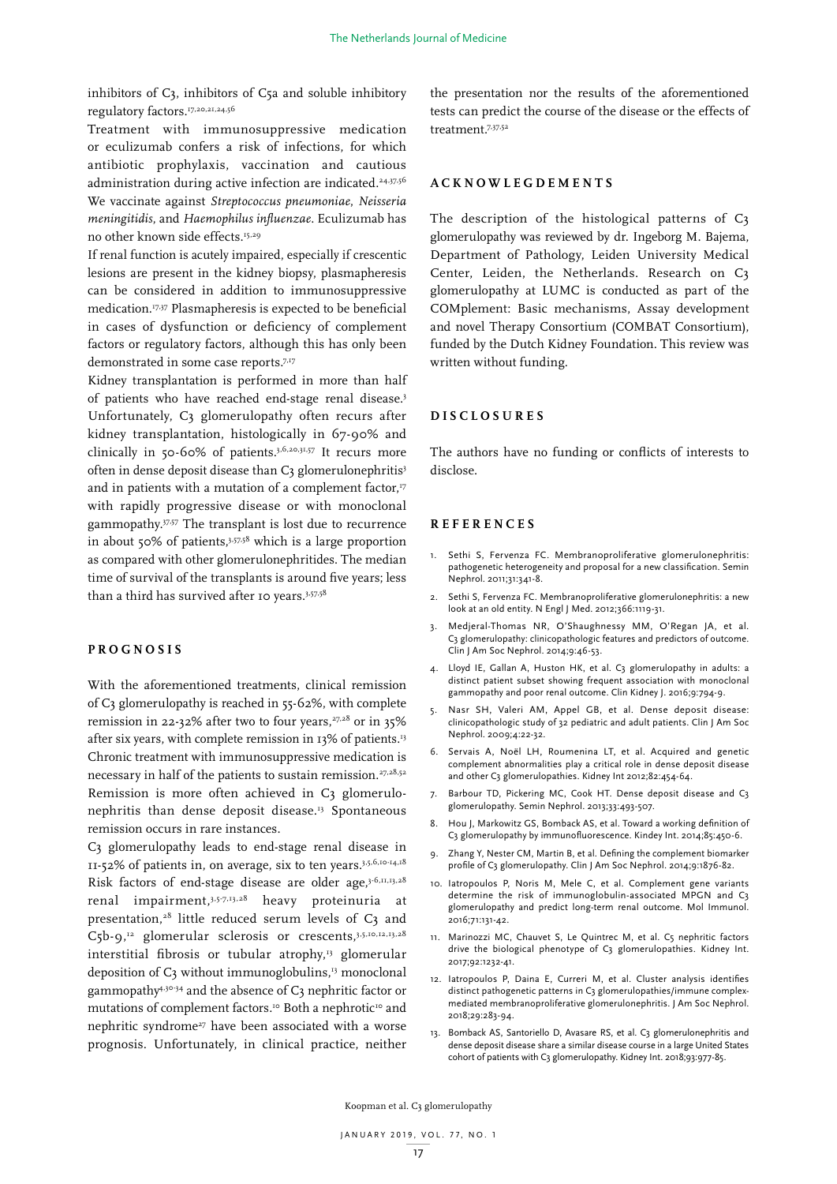inhibitors of C3, inhibitors of C5a and soluble inhibitory regulatory factors.<sup>17,20,21,24,56</sup>

Treatment with immunosuppressive medication or eculizumab confers a risk of infections, for which antibiotic prophylaxis, vaccination and cautious administration during active infection are indicated.<sup>24,37,56</sup> We vaccinate against *Streptococcus pneumoniae*, *Neisseria meningitidis*, and *Haemophilus influenzae*. Eculizumab has no other known side effects.<sup>15,29</sup>

If renal function is acutely impaired, especially if crescentic lesions are present in the kidney biopsy, plasmapheresis can be considered in addition to immunosuppressive medication.<sup>17,37</sup> Plasmapheresis is expected to be beneficial in cases of dysfunction or deficiency of complement factors or regulatory factors, although this has only been demonstrated in some case reports.<sup>7,17</sup>

Kidney transplantation is performed in more than half of patients who have reached end-stage renal disease.3 Unfortunately, C3 glomerulopathy often recurs after kidney transplantation, histologically in 67-90% and clinically in 50-60% of patients.3,6,20,31,57 It recurs more often in dense deposit disease than C3 glomerulonephritis<sup>3</sup> and in patients with a mutation of a complement factor,<sup>17</sup> with rapidly progressive disease or with monoclonal gammopathy.37,57 The transplant is lost due to recurrence in about 50% of patients,3,57,58 which is a large proportion as compared with other glomerulonephritides. The median time of survival of the transplants is around five years; less than a third has survived after 10 years.<sup>3,57,58</sup>

## **PROGNOSIS**

With the aforementioned treatments, clinical remission of C3 glomerulopathy is reached in 55-62%, with complete remission in 22-32% after two to four years,<sup>27,28</sup> or in 35% after six years, with complete remission in 13% of patients.<sup>13</sup> Chronic treatment with immunosuppressive medication is necessary in half of the patients to sustain remission.<sup>27,28,52</sup> Remission is more often achieved in C3 glomerulonephritis than dense deposit disease.<sup>13</sup> Spontaneous remission occurs in rare instances.

C3 glomerulopathy leads to end-stage renal disease in 11-52% of patients in, on average, six to ten years.3,5,6,10-14,18 Risk factors of end-stage disease are older age, $3-6,11,13,28$ renal impairment,3,5-7,13,28 heavy proteinuria at presentation, $28$  little reduced serum levels of  $C_3$  and  $C_5b-9,$ <sup>12</sup> glomerular sclerosis or crescents,<sup>3,5,10,12,13,28</sup> interstitial fibrosis or tubular atrophy,<sup>13</sup> glomerular deposition of  $C_3$  without immunoglobulins,<sup>13</sup> monoclonal gammopathy4,30-34 and the absence of C3 nephritic factor or mutations of complement factors.<sup>10</sup> Both a nephrotic<sup>10</sup> and nephritic syndrome<sup>27</sup> have been associated with a worse prognosis. Unfortunately, in clinical practice, neither

the presentation nor the results of the aforementioned tests can predict the course of the disease or the effects of treatment.7,37,52

# **ACKNOWLEGDEMENTS**

The description of the histological patterns of C3 glomerulopathy was reviewed by dr. Ingeborg M. Bajema, Department of Pathology, Leiden University Medical Center, Leiden, the Netherlands. Research on C3 glomerulopathy at LUMC is conducted as part of the COMplement: Basic mechanisms, Assay development and novel Therapy Consortium (COMBAT Consortium), funded by the Dutch Kidney Foundation. This review was written without funding.

#### **DISCLOSURES**

The authors have no funding or conflicts of interests to disclose.

#### **REFERENCES**

- 1. Sethi S, Fervenza FC. Membranoproliferative glomerulonephritis: pathogenetic heterogeneity and proposal for a new classification. Semin Nephrol. 2011;31:341-8.
- 2. Sethi S, Fervenza FC. Membranoproliferative glomerulonephritis: a new look at an old entity. N Engl J Med. 2012;366:1119-31.
- 3. Medjeral-Thomas NR, O'Shaughnessy MM, O'Regan JA, et al. C3 glomerulopathy: clinicopathologic features and predictors of outcome. Clin J Am Soc Nephrol. 2014;9:46-53.
- 4. Lloyd IE, Gallan A, Huston HK, et al. C3 glomerulopathy in adults: a distinct patient subset showing frequent association with monoclonal gammopathy and poor renal outcome. Clin Kidney J. 2016;9:794-9.
- 5. Nasr SH, Valeri AM, Appel GB, et al. Dense deposit disease: clinicopathologic study of 32 pediatric and adult patients. Clin J Am Soc Nephrol. 2009;4:22-32.
- 6. Servais A, Noël LH, Roumenina LT, et al. Acquired and genetic complement abnormalities play a critical role in dense deposit disease and other C3 glomerulopathies. Kidney Int 2012;82:454-64.
- 7. Barbour TD, Pickering MC, Cook HT. Dense deposit disease and C3 glomerulopathy. Semin Nephrol. 2013;33:493-507.
- 8. Hou J, Markowitz GS, Bomback AS, et al. Toward a working definition of C3 glomerulopathy by immunofluorescence. Kindey Int. 2014;85:450-6.
- 9. Zhang Y, Nester CM, Martin B, et al. Defining the complement biomarker profile of C3 glomerulopathy. Clin J Am Soc Nephrol. 2014;9:1876-82.
- 10. Iatropoulos P, Noris M, Mele C, et al. Complement gene variants determine the risk of immunoglobulin-associated MPGN and C3 glomerulopathy and predict long-term renal outcome. Mol Immunol. 2016;71:131-42.
- 11. Marinozzi MC, Chauvet S, Le Quintrec M, et al. C5 nephritic factors drive the biological phenotype of C3 glomerulopathies. Kidney Int. 2017;92:1232-41.
- 12. Iatropoulos P, Daina E, Curreri M, et al. Cluster analysis identifies distinct pathogenetic patterns in C<sub>3</sub> glomerulopathies/immune complexmediated membranoproliferative glomerulonephritis. J Am Soc Nephrol. 2018;29:283-94.
- 13. Bomback AS, Santoriello D, Avasare RS, et al. C3 glomerulonephritis and dense deposit disease share a similar disease course in a large United States cohort of patients with C3 glomerulopathy. Kidney Int. 2018;93:977-85.